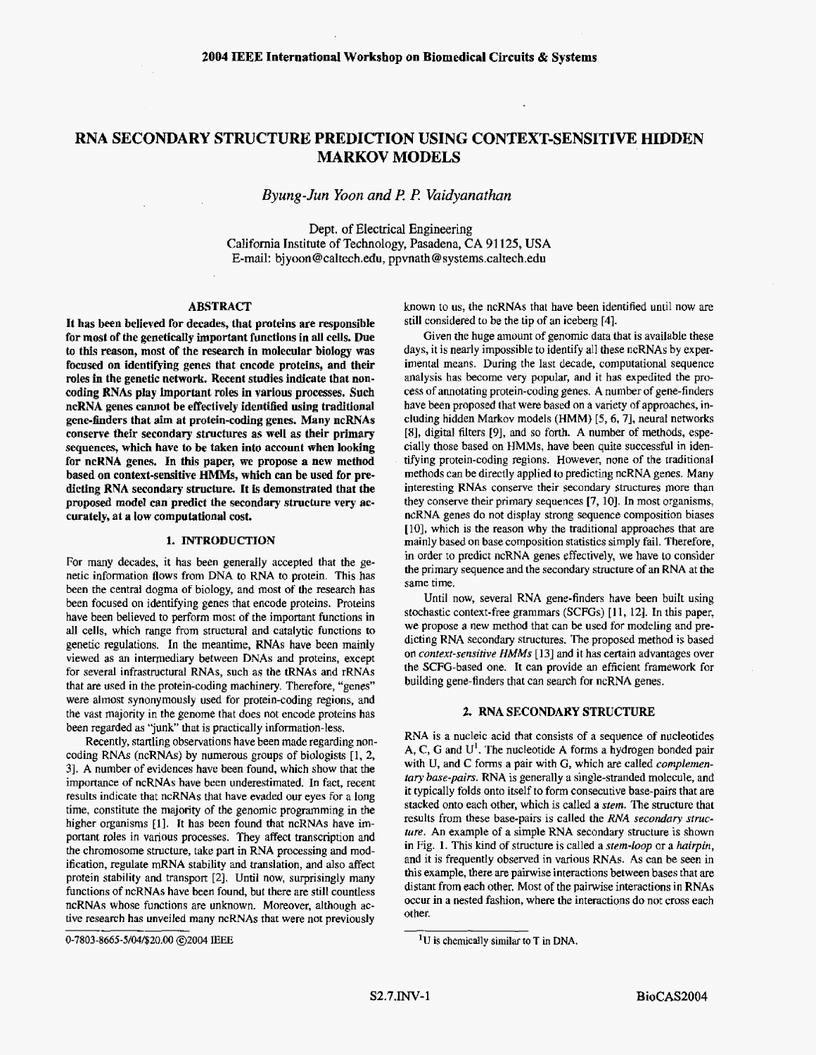## **RNA SECONDARY STRUCTURE PREDICTION USING CONTEXT-SENSITIVE HIDDEN MARKOV MODELS**

*Byung-Jun Yoon and l? R Vaidyanathan* 

**Dept.** of Electrical **Engineering**  California Institute **of** Technology, Pasadena, **CA** 91 125, **USA**  E-mail: **[bjyoon@caltech.edu](mailto:bjyoon@caltech.edu),** ppvnath @ [systems.caltech.edu](http://systems.caltech.edu)

### **ABSTRACT**

**It has been believed For decades, that proteins are responsible**  for most of the genetically important functions in all cells. Due **to this reason, most of the research in molecular biology was focused on identifying genes that encode proteins, and** their **roles in the genetic network. Recent studies indicate that noncoding RNAs play important roles in various processes. Such ncRNA genes cannot be effectiveiy identified using traditional**  gene-finders that aim at protein-coding genes. Many ncRNAs **conserve their secondary structures as well as their primary sequences, which have to be taken into account when lookhg for ncRNA genes. In this paper, we propose a new method based on context-sensitive** HMMs, **which can be used for predicting RNA secondary structure. It is demonstrated that the proposed model an predict the secondary structure very accurately, at a low computational cost.** 

#### **1. INTRODUCTION**

For many decades, it bas been generally accepted that the genetic information flows from **DNA** to RNA **fo** protein. This has been the central dogma of biology, and most of the research has been focused on identifying genes that encode proteins. Proteins have been believed to perform most of the important functions in all cells, which range from structural and catalytic functions to genetic regulations. In the meantime, **RNAs** have been mainly viewed **as** an intermediary between DNAs and proteins, except for several infrastructural RNAs, such as the tRNAs and rRNAs that are used in the protein-coding machinery. Therefore, "genes" were almost synonymously used for prorein-coding regions, and the vast majority in the genome that does not encode proteins has been regarded as "junk" that is practically information-less,

Recently, startling observations have been made regarding noncoding **RNAs** (ncRNAs) by numerous groups of biologists [l, 2, 31. **A** number of evidences have been found, which show that **the**  importance **of** ncRNAs have been underestimated. In fact, recent results indicate that ncRNAs that have evaded **our** eyes *for* a **long**  time, constitute the majority of the genomic programming in the higher organisms **[I].** It has been found that ncRNAs have important roles in various processes. They affect transcription and the chromosome structure, take **part in RNA** processing and modification, regulate **mRNA** stability and translation, and also affect protein stability and transport *[2].* Until now, surprisingly **many**  functions of ncRNAs have been found, but there **are** still countless ncRNAs whose functions are unknown. Moreover, although active research has unveiled many ncRNAs that were not previously

known to us, the ncRNAs that have been identified until now are still considered to *be* the tip of **an** iceberg **[4].** 

Given the huge amount of genomic data that is available these days, it is nearly impossible to identify **all** these ncRNAs **by** experimental means. During the last decade, computational sequence analysis has become very popular, and it **has** expedited the process of annotating protein-coding genes. **A** number of gene-finders have been proposed that were based on a variety of approaches, including hidden Markov models **(HMM)** [5,6,7], neural networks **[SI,** digital filters [9], and so *forth.* A number of methods, especially those based on HMMs, have been quite successful in identifying protein-coding regions, However, none of the traditional methods can be directly applied to predicting ncRNA genes. Many interesting **RNAs** conserve their secondary structures more **than**  they conserve their **primary** sequences [7, lo]. In most organisms, ncRNA genes do not display strong sequence composition biases **[lo],** which is the reason why the traditional approaches that are mainly based on base composition statistics simply **fail.** Therefore, in order to predict ncRNA genes effectively, we have to consider the primary sequence and the secondary structure of an RNA at the **same** time.

Until now, several RNA gene-finders have been built using stochastic context-free grammars **(SCFGs) [ll,** 121. In this paper, we propose **a** new method that can be used for modeling and predicting RNA secondary structures. The proposed method **is** based on *conrext-sensirive HMMs* [ **131 and** it has certain advantages over the SCFG-based one. It can provide an efficient framework for building gene-finders that can search for ncRNA genes.

#### **2. RNA SECONDARY STRUCTURE**

**RNA** is a nucleic acid that consists of a sequence of nucleotides A, **C,** *G and* U'. **The** nucleotide **A** forms a hydrogen bonded pair **with** U, and **C** forms a pair with *G,* which *are* called *complementary base-pairs.* **RNA** is generally **a** single-stranded molecule, and it typically folds onto itself to form consecutive base-pairs that are stacked onto each other, which is called a *stem.* The structure that results from these base-pairs is called the *RNA secondary sfmcture.* An example *of* a simple **RNA** secondary structure is shown in Fig. **1.** This kind of structure is called a *stem-loop* or **a** *hairpin,*  and it is frequently observed in various RNAs. **As** can be seen in this example, there are painvise interactions between bases **that** are distant from each other. Most of the pairwise interactions in **RNAs**  occur in a nested fashion, where the interactions do not cross each **other.** 

**<sup>0-7803-8665-5/04/\$20.00</sup>** @ZOO4 **EEE** 

**<sup>&#</sup>x27;U is** chemically similar to **T in DNA.**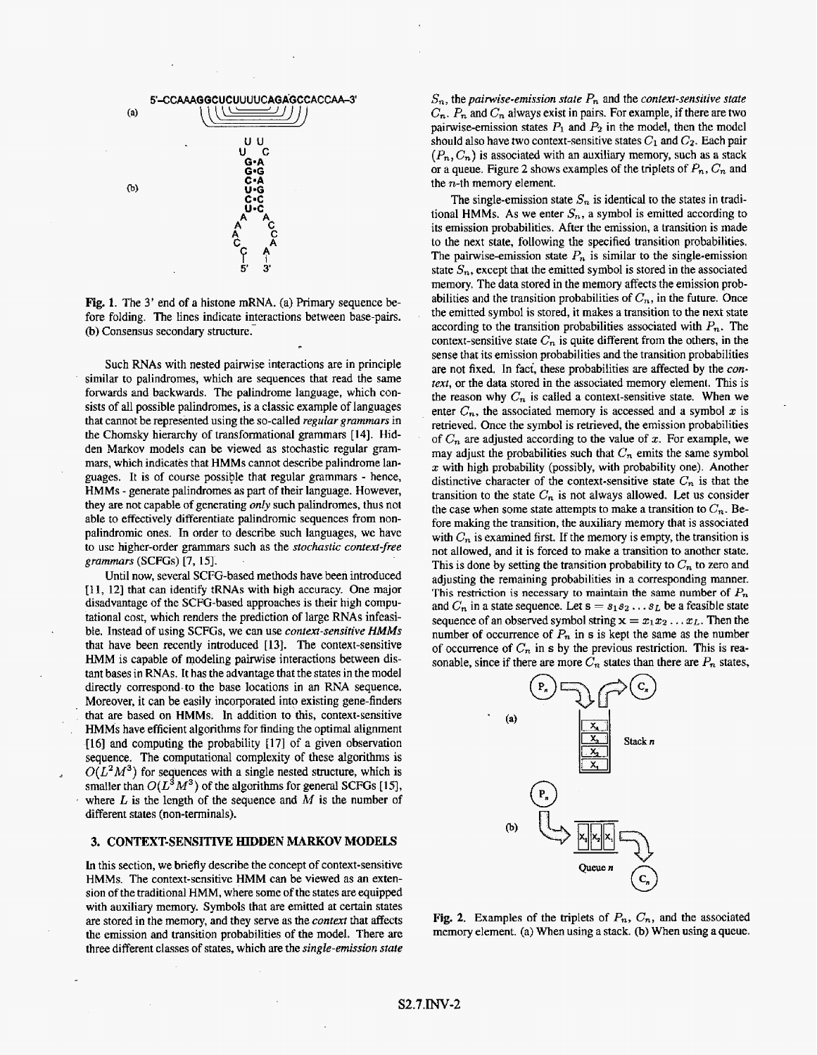

**Fig. 1.** The 3' end of **a** histone mBNA. (a) Primary sequence before folding. The lines indicate interactions between base-pairs. (b) Consensus secondary structure.

Such RNAs with nested pairwise interactions are in principle similar to palindromes, which are sequences that read the same forwards and backwards. The palindrome language, which consists of all possible palindromes, is a classic example of languages that cannot be represented using the so-called *regular grammars in*  the Chomsky hierarchy of transformational grammars **[14].** Hidden Markov models can be viewed as stochastic regular **gram**mars, which indicates that **HMMs** cannot describe palindrome languages. It is of course possible that regular **grammars** - hence, **HMMs** - generate palindromes **as** part of their language. However, they are not capable of generating *only* such palindromes, thus not able to effectively differentiate palindromic sequences from nonpalindromic ones. In order to describe such languages, we have to use higher-order grammars such as the *stochastic contexf-free grammars* **(SCFGs) [7,** 151.

Until now, several SCFG-based methods have been introduced **[ll, 121** that can identify tRNAs with high accuracy. One major disadvantage of the SCFG-based approaches **is** their **high** computational cost, which renders the prediction of large **RNAs** infeasible. Instead of **using** SCFGs, we can **use** *context-sensitive HMMs*  that have **been** recently introduced [ **131.** The context-sensitive HMM is capable **of** modeling pairwise interactions between distant bases in **RNAs.** It **has** the advantage that the states in the model directly correspond-to the base locations in **an RNA** sequence. Moreover, it can be easily incorporated into existing gene-finders that are based on **HMMs.** In addition to this, context-sensitive **HMMs** have efficient algorithms for finding the optimal alignment **[16] and** computing the probability I171 of a given observation sequence. The computational complexity of these algorithms is  $O(L^2M^3)$  for sequences with a single nested structure, which is smaller than  $O(L^3M^3)$  of the algorithms for general SCFGs [15], where  $L$  is the length of the sequence and  $M$  is the number of different states (non-terminals).

-

\_\_

#### **3. CONTEXT-SENSITIVE HIDDEN MARKOV MODELS**

In this section, we briefly describe the concept of context-sensitive HMMs. The context-sensitive **HMM** can be viewed as **an** extension of the traditional HMM, where some **of** the states **are** equipped with auxiliary memory. Symbols that **are** emitted at certain states are stored in the memory, and they serve as the *context* that affects the emission and transition probabilities of the model. There are three different classes of states, which **are the** *single-emission* **slate** 

 $S_n$ , the *pairwise-emission state*  $P_n$  and the *context-sensitive state*  $C_n$ ,  $P_n$  and  $C_n$  always exist in pairs. For example, if there are two pairwise-emission states  $P_1$  and  $P_2$  in the model, then the model should also have two context-sensitive states  $C_1$  and  $C_2$ . Each pair  $(P_n, C_n)$  is associated with an auxiliary memory, such as a stack or a queue. Figure 2 shows examples of the triplets of  $P_n$ ,  $C_n$  and the  $n$ -th memory element.

The single-emission state  $S_n$  is identical to the states in traditional **HMMs.** As we enter  $S_n$ , a symbol is emitted according to its emission probabilities. After the emission, a transition is made to the next state, following the specified transition probabilities. The pairwise-emission state  $P_n$  is similar to the single-emission state  $S_n$ , except that the emitted symbol is stored in the associated memory. The **data** stored in the memory affects the emission probabilities and the transition probabilities of  $C_n$ , in the future. Once the emitted symbol is stored, it makes a transition to the next state according to the transition probabilities associated with *Pn.* The context-sensitive state  $C_n$  is quite different from the others, in the sense that its emission probabilities and the transition probabilities **are** not fixed. In faci, these probabilities are affected by the *context,* or the data stored in the associated memory element. This is the reason why  $C_n$  is called a context-sensitive state. When we enter  $C_n$ , the associated memory is accessed and a symbol x is retrieved. Once the symbol is retrieved, the emission probabihties of  $C_n$  are adjusted according to the value of  $x$ . For example, we may adjust the probabilities such that  $C_n$  emits the same symbol  $x$  with high probability (possibly, with probability one). Another distinctive character of the context-sensitive state  $C_n$  is that the transition to the state  $C_n$  is not always allowed. Let us consider the case when some state attempts to make a transition to  $C_n$ . Before making the transition, the auxiliary memory that is associated with  $C_n$  is examined first. If the memory is empty, the transition is not allowed, and it is forced to make a transition to another **state.**  This is done by setting the transition probability to  $C_n$  to zero and adjusting the remaining probabilities in a corresponding manner. This restriction is **necessary to** maintain the same number **of** *E',,*  and  $C_n$  in a state sequence. Let  $s = s_1 s_2 \ldots s_L$  be a feasible state sequence of an observed symbol string  $\mathbf{x} = x_1 x_2 \dots x_L$ . Then the number of occurrence of  $P_n$  in **s** is kept the same as the number of occurrence of  $C_n$  in  $s$  by the previous restriction. This is reasonable, since if there are more  $C_n$  states than there are  $P_n$  states,



**Fig. 2.** Examples of the triplets of  $P_n$ ,  $C_n$ , and the associated memory element. **(a)** When using a stack. **(b)** When using **a** queue.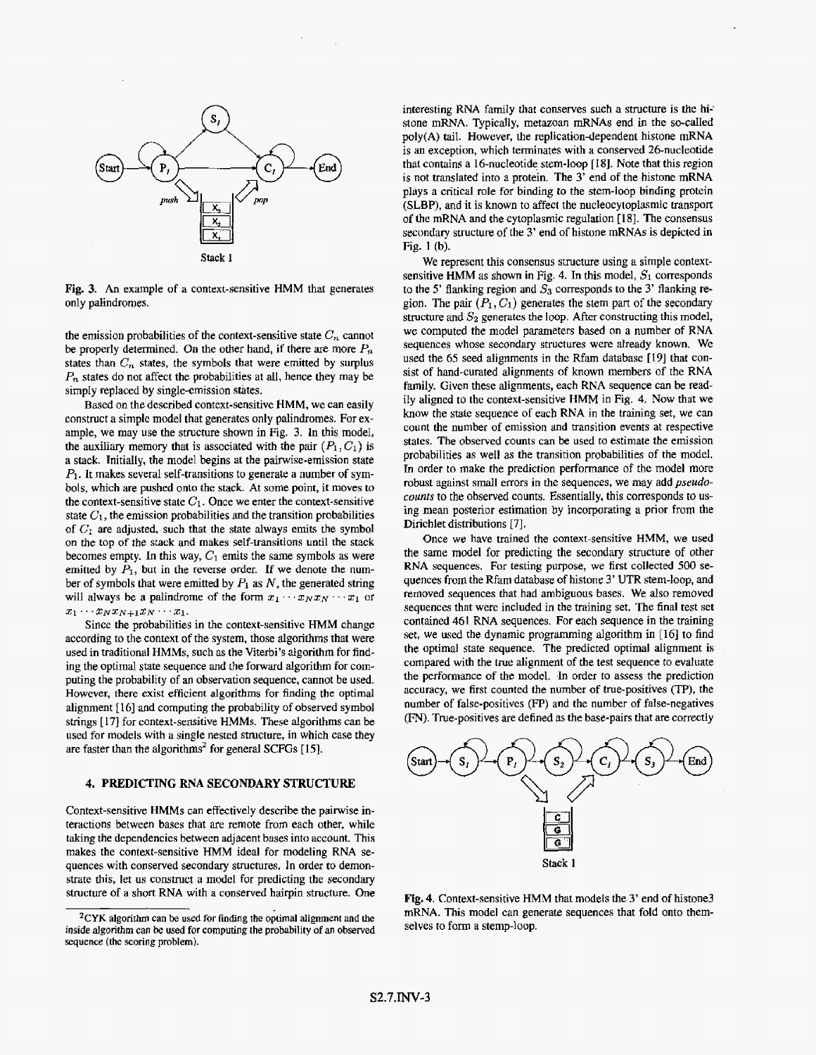<span id="page-2-0"></span>

**Fig. 3.** An example of **a** context-sensitive **HMM** that generates only palindromes.

the emission probabilities of the context-sensitive state  $C_n$  cannot be properly determined. On the other hand, if there are more  $P_n$ states than  $C_n$  states, the symbols that were emitted by surplus *P,* states do not affect the probabilities at all, hence they may be simpIy replaced by single-emission states.

Based on the described context-sensitive **HMM,** we can easily construct a simple model that generates only palindromes. For example, we may **use** the structure shown in **Fig.** 3. In this model, the auxiliary memory that is associated with the pair  $(P_1, C_1)$  is a stack. Tnitially, the model begins at the pairwise-emission state *PI.* It makes several self-transitions to generate a number of symbols, which are pushed onto the stack. **At** some point, it moves to the context-sensitive state  $C_1$ . Once we enter the context-sensitive state  $C_1$ , the emission probabilities and the transition probabilities of  $C_1$  are adjusted, such that the state always emits the symbol on the **top** of the stack and makes self-transitions until the stack becomes empty. In this way,  $C_1$  emits the same symbols as were emitted by  $P_1$ , but in the reverse order. If we denote the number of symbols that were emitted by  $P_1$  as  $N$ , the generated string will always be a palindrome of the form  $x_1 \cdots x_N x_N \cdots x_1$  or  $x_1 \cdots x_N x_{N+1} x_N \cdots x_1.$ 

Since the probabilities in the context-sensitive **HMM** change according to the context of the system, those algorithms that were used in traditional **HMMs,** such as the Viterbi's algorithm for finding the optimal state sequence and the forward algorithm for computing the probability of **an** observation sequence, cannot **be** used. However, there exist efficient **algorithms for** finding the optimal alignment **[16]** and computing the probability of observed symbol strings **[17]** for context-sensitive **HMMs.** 'These algorithms can be used for models with a single nested structure, in which case they are faster than the algorithms' **for** general **SCFGs [15J** 

#### **4. PREDICTING RNA SECONDARY STRUCTURE**

Context-sensitive **HMMs** can effectively describe the pairwise interactions between bases that are remote from each other, while taking the dependencies between adjacent bases into account. This makes the context-sensitive HMM ideal for modeling **RNA** sequences with conserved secondary structures. in order to demonstrate this, let us construct a **model** for predicting the secondary **structure** of a short **RNA** with **a** conserved hairpin structure. One interesting **RNA** family that conserves such a structure **is the hi-'**  stone mRNA. Typically, metazoan **mRNAs** end in the so-called poly(A) tail. However, the replication-dependent histone **mRNA**  is an exception, which terminates with **a** conserved 26-nucleotide that contains a 16-nucleotide stem-loop [Ig]. Note that this region is not translated into *B* protein. The *3'* end **of** the histone **mRNA plays** a critical role for binding to the stem-loop binding protein **(SLBP),** and it is known to affect the nucleocytoplasmic transport of the **mRNA** and the cytopIasmic regulation **[18].** The consensus secondary structure of the 3' end **of** histone **mRNAs** is depicted in **Fig. 1** (b).

We represent this consensus structure using a simple contextsensitive HMM as shown in Fig. 4. In this model,  $S_1$  corresponds to **the 5'** flanking region and *S3* corresponds to the 3' flanking region. The pair  $(P_1, C_1)$  generates the stem part of the secondary structure and *S2* generates **the** loop. After constructing this model, **we** computed the model parameters based on a number of **RNA**  sequences whose secondary structures were already **known.** We used the *65* seed alignments **in** the **Rfam** database [19] that consist **of** hand-curated alignments of known members of the **RNA**  family. Given these alignments, each **RNA** sequence can be readily aligned to the context-sensitive **HMM** in Fig. **4.** Now that we **know** the state sequence of each **RNA** in the training set, **we** can count the number **of** emission **and** transition events at respective states. The observed counts can be used to estimate the emission probabilities as well as the transition probabilities of the model. In order to make the prediction performance of the model more robust against small errors in the sequences, we may add *pseudocounts* to the **observed** counts. Essentially, this corresponds **to** using mean posterior estimation by incorporating a **prior** from the Dirichlet distributions *[7].* 

Once **we** have **trained** the context-sensitive HMM, we used the same model for predicting the secondary structure of other RNA sequences. For testing purpose, we first collected 500 sequences from the **Rfam** database of histone 3' UTR stem-loop, **and**  removed sequences that had ambiguous bases. We also removed sequences that were included in the training set. The final test set contained **461 RNA** sequences. For each sequence in the training set, we used the dynamic programming algorithm in [16] to find the optimal state sequence. The predicted optimal alignment is compared with the true alignment of the test sequence to evaluate the performance of the model. In order to assess the prediction accuracy, we first counted the number of true-positives (TP), the number of false-positives (FP) and the number of false-negatives (FN). True-positives **are** defined as the base-pairs that are correctly



**Fig. 4.** Context-sensitive **HMM** that models the **3'** end of histone3 **mRNA.** This model can generate sequences that **fold** onto themselves to form a stemp-loop.

**<sup>2</sup>CYK algorithm can be used for finding** the optimal **alignment and the inside algorithm can** *be* **used for** computing **the probability** of **an** observed **sequence (the** scoring **problem).**